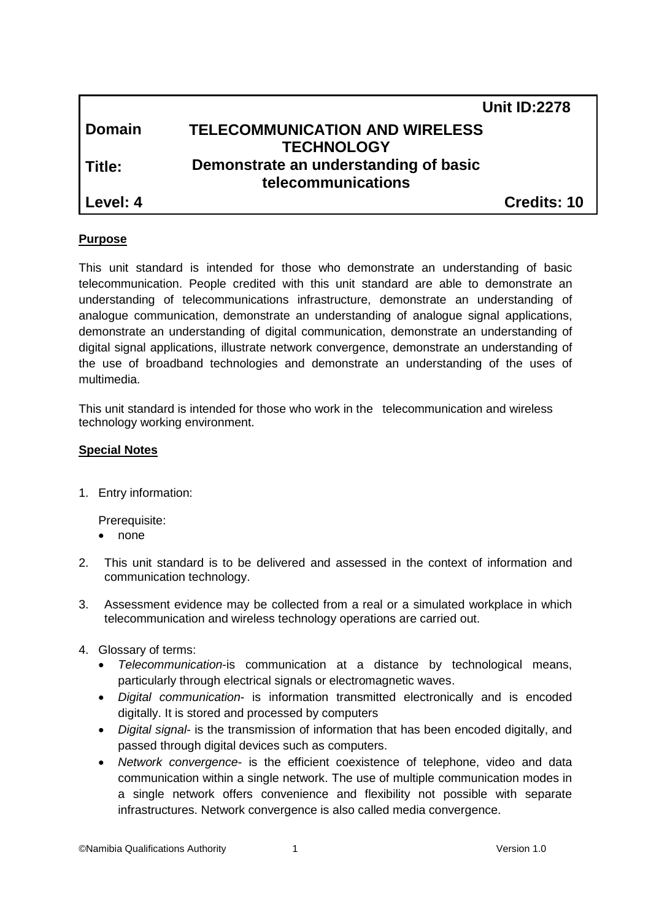|          | <b>Unit ID:2278</b>                   |
|----------|---------------------------------------|
| l Domain | <b>TELECOMMUNICATION AND WIRELESS</b> |
|          | <b>TECHNOLOGY</b>                     |
| l Title: | Demonstrate an understanding of basic |
|          | telecommunications                    |
| Level: 4 | Credits: 10                           |

# **Purpose**

This unit standard is intended for those who demonstrate an understanding of basic telecommunication. People credited with this unit standard are able to demonstrate an understanding of telecommunications infrastructure, demonstrate an understanding of analogue communication, demonstrate an understanding of analogue signal applications, demonstrate an understanding of digital communication, demonstrate an understanding of digital signal applications, illustrate network convergence, demonstrate an understanding of the use of broadband technologies and demonstrate an understanding of the uses of multimedia.

This unit standard is intended for those who work in the telecommunication and wireless technology working environment.

# **Special Notes**

1. Entry information:

Prerequisite:

- none
- 2. This unit standard is to be delivered and assessed in the context of information and communication technology.
- 3. Assessment evidence may be collected from a real or a simulated workplace in which telecommunication and wireless technology operations are carried out.
- 4. Glossary of terms:
	- *Telecommunication*-is communication at a distance by technological means, particularly through electrical signals or electromagnetic waves.
	- *Digital communication* is information transmitted electronically and is encoded digitally. It is stored and processed by computers
	- *Digital signal* is the transmission of information that has been encoded digitally, and passed through digital devices such as computers.
	- *Network convergence* is the efficient coexistence of telephone, video and data communication within a single network. The use of multiple communication modes in a single network offers convenience and flexibility not possible with separate infrastructures. Network convergence is also called media convergence.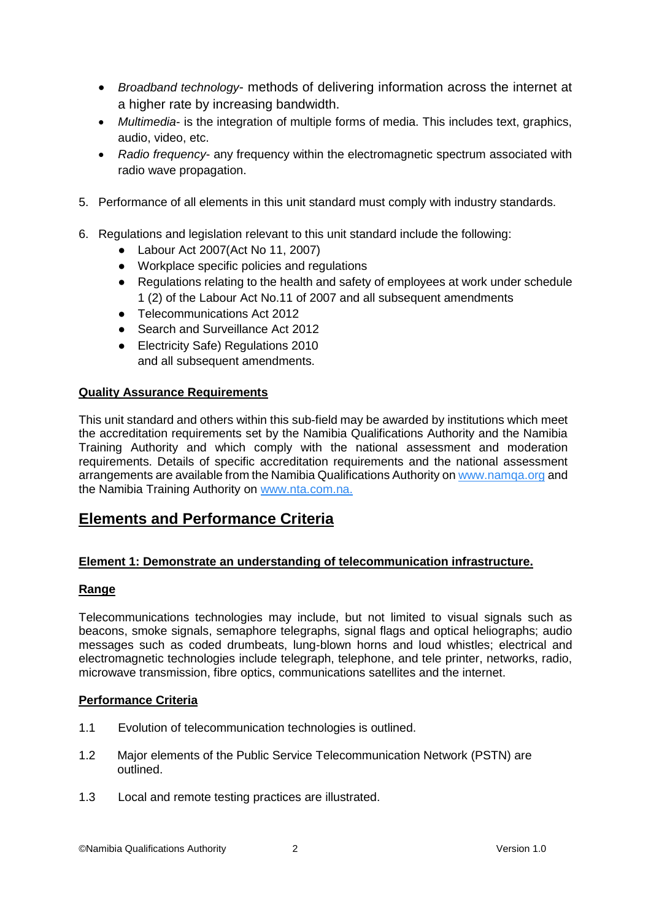- *Broadband technology* methods of delivering information across the internet at a higher rate by increasing bandwidth.
- *Multimedia* is the integration of multiple forms of media. This includes text, graphics, audio, video, etc.
- *Radio frequency* any frequency within the electromagnetic spectrum associated with radio wave propagation.
- 5. Performance of all elements in this unit standard must comply with industry standards.
- 6. Regulations and legislation relevant to this unit standard include the following:
	- Labour Act 2007(Act No 11, 2007)
	- Workplace specific policies and regulations
	- Regulations relating to the health and safety of employees at work under schedule 1 (2) of the Labour Act No.11 of 2007 and all subsequent amendments
	- Telecommunications Act 2012
	- Search and Surveillance Act 2012
	- Electricity Safe) Regulations 2010 and all subsequent amendments.

# **Quality Assurance Requirements**

This unit standard and others within this sub-field may be awarded by institutions which meet the accreditation requirements set by the Namibia Qualifications Authority and the Namibia Training Authority and which comply with the national assessment and moderation requirements. Details of specific accreditation requirements and the national assessment arrangements are available from the Namibia Qualifications Authority on [www.namqa.org](http://www.namqa.org/) and the Namibia Training Authority on [www.nta.com.na.](http://www.nta.com.na/)

# **Elements and Performance Criteria**

# **Element 1: Demonstrate an understanding of telecommunication infrastructure.**

#### **Range**

Telecommunications technologies may include, but not limited to visual signals such as beacons, smoke signals, semaphore telegraphs, signal flags and optical heliographs; audio messages such as coded drumbeats, lung-blown horns and loud whistles; electrical and electromagnetic technologies include telegraph, telephone, and tele printer, networks, radio, microwave transmission, fibre optics, communications satellites and the internet.

#### **Performance Criteria**

- 1.1 Evolution of telecommunication technologies is outlined.
- 1.2 Major elements of the Public Service Telecommunication Network (PSTN) are outlined.
- 1.3 Local and remote testing practices are illustrated.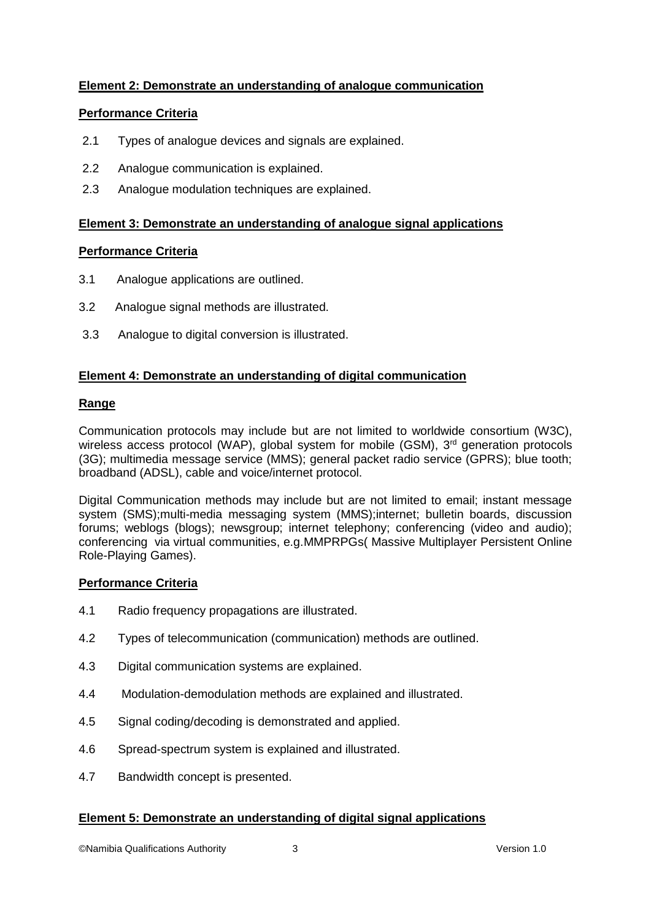# **Element 2: Demonstrate an understanding of analogue communication**

# **Performance Criteria**

- 2.1 Types of analogue devices and signals are explained.
- 2.2 Analogue communication is explained.
- 2.3 Analogue modulation techniques are explained.

# **Element 3: Demonstrate an understanding of analogue signal applications**

# **Performance Criteria**

- 3.1 Analogue applications are outlined.
- 3.2 Analogue signal methods are illustrated.
- 3.3 Analogue to digital conversion is illustrated.

# **Element 4: Demonstrate an understanding of digital communication**

# **Range**

Communication protocols may include but are not limited to worldwide consortium (W3C), wireless access protocol (WAP), global system for mobile (GSM), 3<sup>rd</sup> generation protocols (3G); multimedia message service (MMS); general packet radio service (GPRS); blue tooth; broadband (ADSL), cable and voice/internet protocol.

Digital Communication methods may include but are not limited to email; instant message system (SMS);multi-media messaging system (MMS);internet; bulletin boards, discussion forums; weblogs (blogs); newsgroup; internet telephony; conferencing (video and audio); conferencing via virtual communities, e.g.MMPRPGs( Massive Multiplayer Persistent Online Role-Playing Games).

# **Performance Criteria**

- 4.1 Radio frequency propagations are illustrated.
- 4.2 Types of telecommunication (communication) methods are outlined.
- 4.3 Digital communication systems are explained.
- 4.4 Modulation-demodulation methods are explained and illustrated.
- 4.5 Signal coding/decoding is demonstrated and applied.
- 4.6 Spread-spectrum system is explained and illustrated.
- 4.7 Bandwidth concept is presented.

# **Element 5: Demonstrate an understanding of digital signal applications**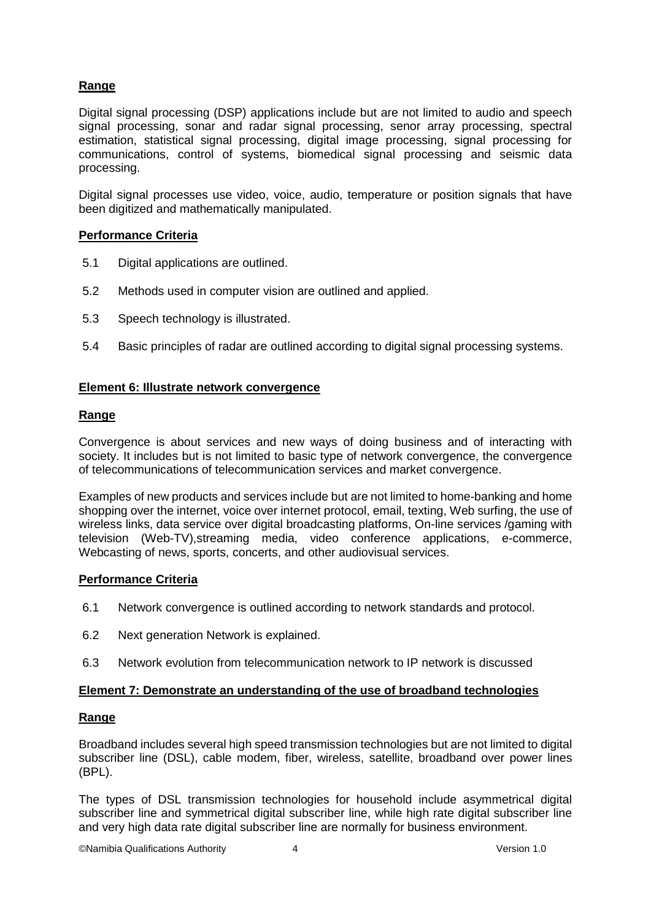# **Range**

Digital signal processing (DSP) applications include but are not limited to audio and speech signal processing, sonar and radar signal processing, senor array processing, spectral estimation, statistical signal processing, digital image processing, signal processing for communications, control of systems, biomedical signal processing and seismic data processing.

Digital signal processes use video, voice, audio, temperature or position signals that have been digitized and mathematically manipulated.

# **Performance Criteria**

- 5.1 Digital applications are outlined.
- 5.2 Methods used in computer vision are outlined and applied.
- 5.3 Speech technology is illustrated.
- 5.4 Basic principles of radar are outlined according to digital signal processing systems.

### **Element 6: Illustrate network convergence**

### **Range**

Convergence is about services and new ways of doing business and of interacting with society. It includes but is not limited to basic type of network convergence, the convergence of telecommunications of telecommunication services and market convergence.

Examples of new products and services include but are not limited to home-banking and home shopping over the internet, voice over internet protocol, email, texting, Web surfing, the use of wireless links, data service over digital broadcasting platforms, On-line services /gaming with television (Web-TV),streaming media, video conference applications, e-commerce, Webcasting of news, sports, concerts, and other audiovisual services.

# **Performance Criteria**

- 6.1 Network convergence is outlined according to network standards and protocol.
- 6.2 Next generation Network is explained.
- 6.3 Network evolution from telecommunication network to IP network is discussed

#### **Element 7: Demonstrate an understanding of the use of broadband technologies**

#### **Range**

Broadband includes several high speed transmission technologies but are not limited to digital subscriber line (DSL), cable modem, fiber, wireless, satellite, broadband over power lines (BPL).

The types of DSL transmission technologies for household include asymmetrical digital subscriber line and symmetrical digital subscriber line, while high rate digital subscriber line and very high data rate digital subscriber line are normally for business environment.